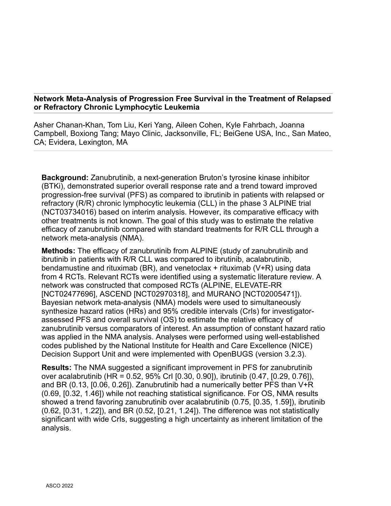## **Network Meta-Analysis of Progression Free Survival in the Treatment of Relapsed or Refractory Chronic Lymphocytic Leukemia**

Asher Chanan-Khan, Tom Liu, Keri Yang, Aileen Cohen, Kyle Fahrbach, Joanna Campbell, Boxiong Tang; Mayo Clinic, Jacksonville, FL; BeiGene USA, Inc., San Mateo, CA; Evidera, Lexington, MA

**Background:** Zanubrutinib, a next-generation Bruton's tyrosine kinase inhibitor (BTKi), demonstrated superior overall response rate and a trend toward improved progression-free survival (PFS) as compared to ibrutinib in patients with relapsed or refractory (R/R) chronic lymphocytic leukemia (CLL) in the phase 3 ALPINE trial (NCT03734016) based on interim analysis. However, its comparative efficacy with other treatments is not known. The goal of this study was to estimate the relative efficacy of zanubrutinib compared with standard treatments for R/R CLL through a network meta-analysis (NMA).

**Methods:** The efficacy of zanubrutinib from ALPINE (study of zanubrutinib and ibrutinib in patients with R/R CLL was compared to ibrutinib, acalabrutinib, bendamustine and rituximab (BR), and venetoclax  $+$  rituximab (V+R) using data from 4 RCTs. Relevant RCTs were identified using a systematic literature review. A network was constructed that composed RCTs (ALPINE, ELEVATE-RR [NCT02477696], ASCEND [NCT02970318], and MURANO [NCT02005471]). Bayesian network meta-analysis (NMA) models were used to simultaneously synthesize hazard ratios (HRs) and 95% credible intervals (CrIs) for investigatorassessed PFS and overall survival (OS) to estimate the relative efficacy of zanubrutinib versus comparators of interest. An assumption of constant hazard ratio was applied in the NMA analysis. Analyses were performed using well-established codes published by the National Institute for Health and Care Excellence (NICE) Decision Support Unit and were implemented with OpenBUGS (version 3.2.3).

**Results:** The NMA suggested a significant improvement in PFS for zanubrutinib over acalabrutinib (HR = 0.52, 95% CrI [0.30, 0.90]), ibrutinib (0.47, [0.29, 0.76]), and BR (0.13, [0.06, 0.26]). Zanubrutinib had a numerically better PFS than V+R (0.69, [0.32, 1.46]) while not reaching statistical significance. For OS, NMA results showed a trend favoring zanubrutinib over acalabrutinib (0.75, [0.35, 1.59]), ibrutinib (0.62, [0.31, 1.22]), and BR (0.52, [0.21, 1.24]). The difference was not statistically significant with wide CrIs, suggesting a high uncertainty as inherent limitation of the analysis.